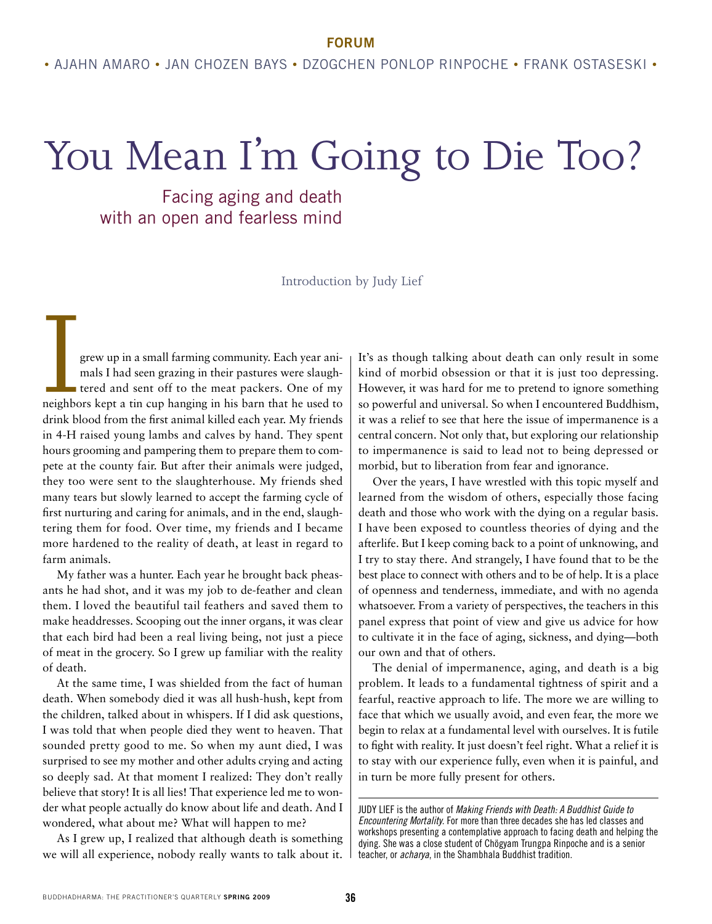**forum**

## You Mean I'm Going to Die Too?

Facing aging and death with an open and fearless mind

Introduction by Judy Lief

grew up in a small farming community. Each year ani-<br>mals I had seen grazing in their pastures were slaugh-<br>tered and sent off to the meat packers. One of my<br>neighbors kept a tin cup hanging in his barn that he used to<br>dri mals I had seen grazing in their pastures were slaughtered and sent off to the meat packers. One of my neighbors kept a tin cup hanging in his barn that he used to drink blood from the first animal killed each year. My friends in 4-H raised young lambs and calves by hand. They spent hours grooming and pampering them to prepare them to compete at the county fair. But after their animals were judged, they too were sent to the slaughterhouse. My friends shed many tears but slowly learned to accept the farming cycle of first nurturing and caring for animals, and in the end, slaughtering them for food. Over time, my friends and I became more hardened to the reality of death, at least in regard to farm animals.

My father was a hunter. Each year he brought back pheasants he had shot, and it was my job to de-feather and clean them. I loved the beautiful tail feathers and saved them to make headdresses. Scooping out the inner organs, it was clear that each bird had been a real living being, not just a piece of meat in the grocery. So I grew up familiar with the reality of death.

At the same time, I was shielded from the fact of human death. When somebody died it was all hush-hush, kept from the children, talked about in whispers. If I did ask questions, I was told that when people died they went to heaven. That sounded pretty good to me. So when my aunt died, I was surprised to see my mother and other adults crying and acting so deeply sad. At that moment I realized: They don't really believe that story! It is all lies! That experience led me to wonder what people actually do know about life and death. And I wondered, what about me? What will happen to me?

As I grew up, I realized that although death is something we will all experience, nobody really wants to talk about it. It's as though talking about death can only result in some kind of morbid obsession or that it is just too depressing. However, it was hard for me to pretend to ignore something so powerful and universal. So when I encountered Buddhism, it was a relief to see that here the issue of impermanence is a central concern. Not only that, but exploring our relationship to impermanence is said to lead not to being depressed or morbid, but to liberation from fear and ignorance.

Over the years, I have wrestled with this topic myself and learned from the wisdom of others, especially those facing death and those who work with the dying on a regular basis. I have been exposed to countless theories of dying and the afterlife. But I keep coming back to a point of unknowing, and I try to stay there. And strangely, I have found that to be the best place to connect with others and to be of help. It is a place of openness and tenderness, immediate, and with no agenda whatsoever. From a variety of perspectives, the teachers in this panel express that point of view and give us advice for how to cultivate it in the face of aging, sickness, and dying—both our own and that of others.

The denial of impermanence, aging, and death is a big problem. It leads to a fundamental tightness of spirit and a fearful, reactive approach to life. The more we are willing to face that which we usually avoid, and even fear, the more we begin to relax at a fundamental level with ourselves. It is futile to fight with reality. It just doesn't feel right. What a relief it is to stay with our experience fully, even when it is painful, and in turn be more fully present for others.

Judy Lief is the author of *Making Friends with Death: A Buddhist Guide to Encountering Mortality*. For more than three decades she has led classes and workshops presenting a contemplative approach to facing death and helping the dying. She was a close student of Chögyam Trungpa Rinpoche and is a senior teacher, or *acharya*, in the Shambhala Buddhist tradition.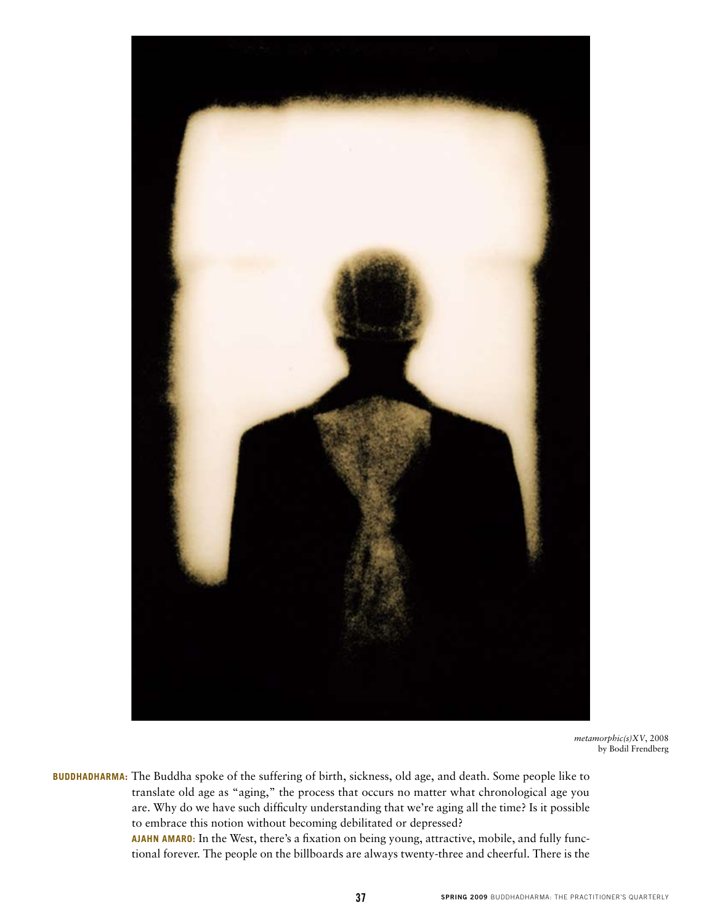

*metamorphic(s)XV*, 2008 by Bodil Frendberg

BUDDHADHARMA: The Buddha spoke of the suffering of birth, sickness, old age, and death. Some people like to translate old age as "aging," the process that occurs no matter what chronological age you are. Why do we have such difficulty understanding that we're aging all the time? Is it possible to embrace this notion without becoming debilitated or depressed?

> **Ajahn Amaro:** In the West, there's a fixation on being young, attractive, mobile, and fully functional forever. The people on the billboards are always twenty-three and cheerful. There is the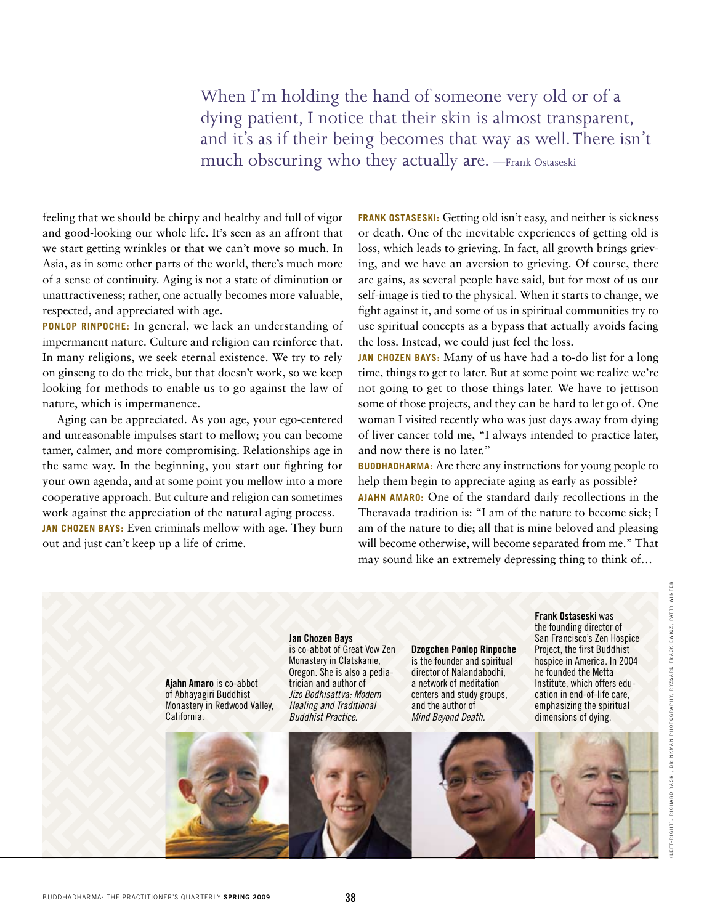When I'm holding the hand of someone very old or of a dying patient, I notice that their skin is almost transparent, and it's as if their being becomes that way as well. There isn't much obscuring who they actually are. —Frank Ostaseski

feeling that we should be chirpy and healthy and full of vigor and good-looking our whole life. It's seen as an affront that we start getting wrinkles or that we can't move so much. In Asia, as in some other parts of the world, there's much more of a sense of continuity. Aging is not a state of diminution or unattractiveness; rather, one actually becomes more valuable, respected, and appreciated with age.

**Ponlop Rinpoche:** In general, we lack an understanding of impermanent nature. Culture and religion can reinforce that. In many religions, we seek eternal existence. We try to rely on ginseng to do the trick, but that doesn't work, so we keep looking for methods to enable us to go against the law of nature, which is impermanence.

Aging can be appreciated. As you age, your ego-centered and unreasonable impulses start to mellow; you can become tamer, calmer, and more compromising. Relationships age in the same way. In the beginning, you start out fighting for your own agenda, and at some point you mellow into a more cooperative approach. But culture and religion can sometimes work against the appreciation of the natural aging process.

**Jan Chozen Bays:** Even criminals mellow with age. They burn out and just can't keep up a life of crime.

**FRANK OSTASESKI:** Getting old isn't easy, and neither is sickness or death. One of the inevitable experiences of getting old is loss, which leads to grieving. In fact, all growth brings grieving, and we have an aversion to grieving. Of course, there are gains, as several people have said, but for most of us our self-image is tied to the physical. When it starts to change, we fight against it, and some of us in spiritual communities try to use spiritual concepts as a bypass that actually avoids facing the loss. Instead, we could just feel the loss.

**Jan Chozen Bays:** Many of us have had a to-do list for a long time, things to get to later. But at some point we realize we're not going to get to those things later. We have to jettison some of those projects, and they can be hard to let go of. One woman I visited recently who was just days away from dying of liver cancer told me, "I always intended to practice later, and now there is no later."

**BUDDHADHARMA:** Are there any instructions for young people to help them begin to appreciate aging as early as possible?

**Ajahn Amaro:** One of the standard daily recollections in the Theravada tradition is: "I am of the nature to become sick; I am of the nature to die; all that is mine beloved and pleasing will become otherwise, will become separated from me." That may sound like an extremely depressing thing to think of…

**Ajahn Amaro** is co-abbot of Abhayagiri Buddhist Monastery in Redwood Valley, California.



**Jan Chozen Bays** is co-abbot of Great Vow Zen Monastery in Clatskanie, Oregon. She is also a pediatrician and author of *Jizo Bodhisattva: Modern Healing and Traditional Buddhist Practice.*



**Dzogchen Ponlop Rinpoche** is the founder and spiritual director of Nalandabodhi, a network of meditation centers and study groups, and the author of *Mind Beyond Death.*

**Frank Ostaseski** was the founding director of San Francisco's Zen Hospice Project, the first Buddhist hospice in America. In 2004 he founded the Metta Institute, which offers education in end-of-life care, emphasizing the spiritual dimensions of dying.

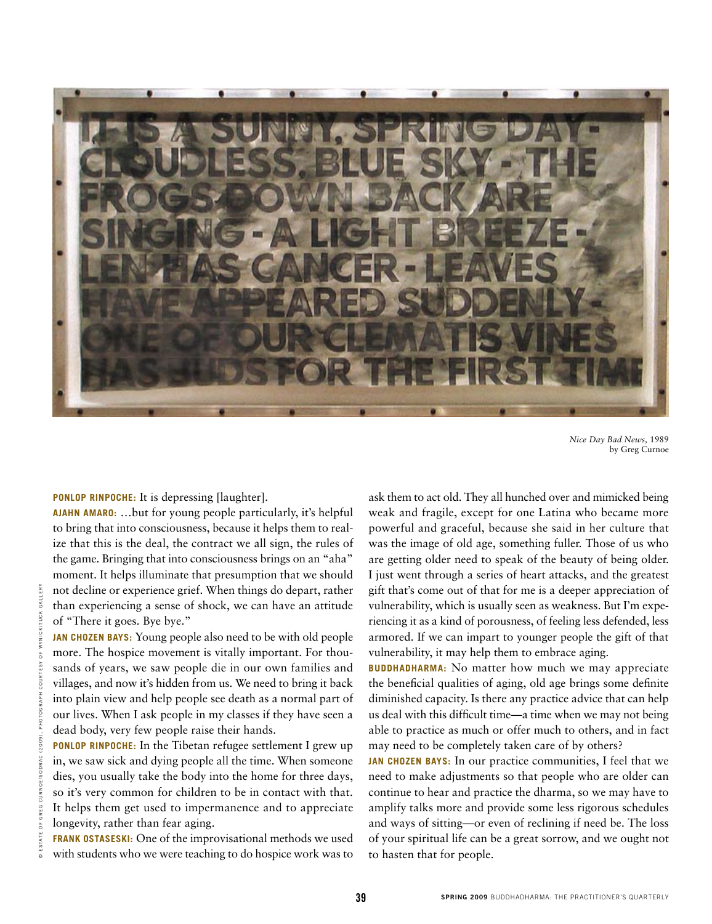

*Nice Day Bad News,* 1989 by Greg Curnoe

**Ponlop Rinpoche:** It is depressing [laughter].

**Ajahn Amaro:** …but for young people particularly, it's helpful to bring that into consciousness, because it helps them to realize that this is the deal, the contract we all sign, the rules of the game. Bringing that into consciousness brings on an "aha" moment. It helps illuminate that presumption that we should not decline or experience grief. When things do depart, rather than experiencing a sense of shock, we can have an attitude of "There it goes. Bye bye."

**Jan Chozen Bays:** Young people also need to be with old people more. The hospice movement is vitally important. For thousands of years, we saw people die in our own families and villages, and now it's hidden from us. We need to bring it back into plain view and help people see death as a normal part of our lives. When I ask people in my classes if they have seen a dead body, very few people raise their hands. Example the conservation of the state of shock, we can have an attitude vulnerability, which is usuaded to the "There it goes. By e bye." The people also need to be with old people armored. If we can impare in the said of

**Ponlop Rinpoche:** In the Tibetan refugee settlement I grew up in, we saw sick and dying people all the time. When someone dies, you usually take the body into the home for three days, so it's very common for children to be in contact with that. It helps them get used to impermanence and to appreciate longevity, rather than fear aging.

**Frank Ostaseski:** One of the improvisational methods we used with students who we were teaching to do hospice work was to ask them to act old. They all hunched over and mimicked being weak and fragile, except for one Latina who became more powerful and graceful, because she said in her culture that was the image of old age, something fuller. Those of us who are getting older need to speak of the beauty of being older. I just went through a series of heart attacks, and the greatest gift that's come out of that for me is a deeper appreciation of vulnerability, which is usually seen as weakness. But I'm experiencing it as a kind of porousness, of feeling less defended, less armored. If we can impart to younger people the gift of that vulnerability, it may help them to embrace aging.

**BUDDHADHARMA:** No matter how much we may appreciate the beneficial qualities of aging, old age brings some definite diminished capacity. Is there any practice advice that can help us deal with this difficult time—a time when we may not being able to practice as much or offer much to others, and in fact may need to be completely taken care of by others?

**Jan Chozen Bays:** In our practice communities, I feel that we need to make adjustments so that people who are older can continue to hear and practice the dharma, so we may have to amplify talks more and provide some less rigorous schedules and ways of sitting—or even of reclining if need be. The loss of your spiritual life can be a great sorrow, and we ought not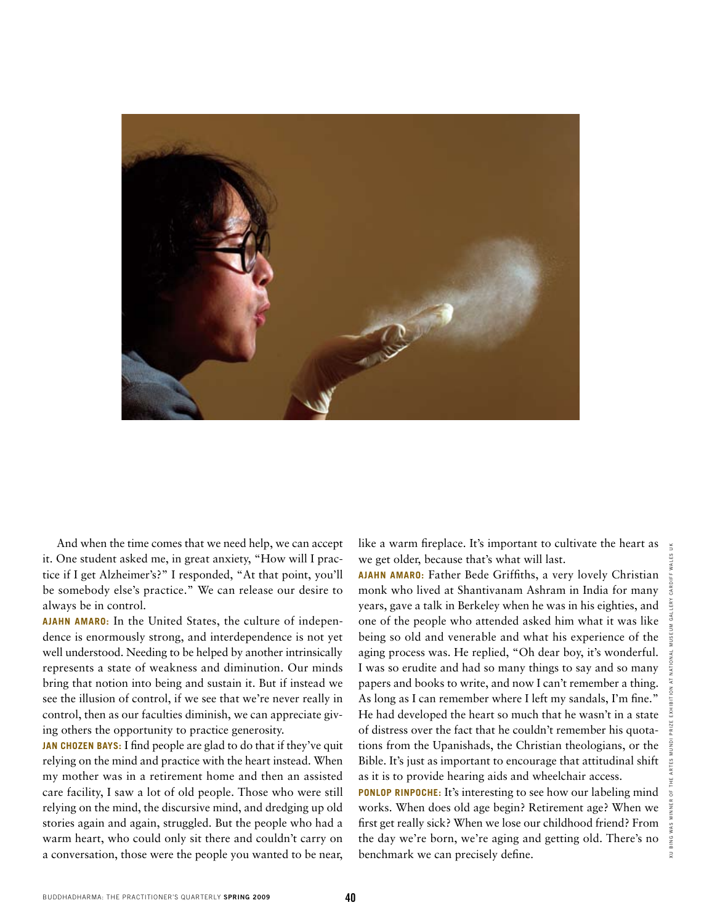

And when the time comes that we need help, we can accept it. One student asked me, in great anxiety, "How will I practice if I get Alzheimer's?" I responded, "At that point, you'll be somebody else's practice." We can release our desire to always be in control.

**Ajahn Amaro:** In the United States, the culture of independence is enormously strong, and interdependence is not yet well understood. Needing to be helped by another intrinsically represents a state of weakness and diminution. Our minds bring that notion into being and sustain it. But if instead we see the illusion of control, if we see that we're never really in control, then as our faculties diminish, we can appreciate giving others the opportunity to practice generosity.

**Jan Chozen Bays:** I find people are glad to do that if they've quit relying on the mind and practice with the heart instead. When my mother was in a retirement home and then an assisted care facility, I saw a lot of old people. Those who were still relying on the mind, the discursive mind, and dredging up old stories again and again, struggled. But the people who had a warm heart, who could only sit there and couldn't carry on a conversation, those were the people you wanted to be near, like a warm fireplace. It's important to cultivate the heart as we get older, because that's what will last.

**Ajahn Amaro:** Father Bede Griffiths, a very lovely Christian monk who lived at Shantivanam Ashram in India for many years, gave a talk in Berkeley when he was in his eighties, and one of the people who attended asked him what it was like being so old and venerable and what his experience of the aging process was. He replied, "Oh dear boy, it's wonderful. I was so erudite and had so many things to say and so many papers and books to write, and now I can't remember a thing. As long as I can remember where I left my sandals, I'm fine." He had developed the heart so much that he wasn't in a state of distress over the fact that he couldn't remember his quotations from the Upanishads, the Christian theologians, or the Bible. It's just as important to encourage that attitudinal shift as it is to provide hearing aids and wheelchair access.

**PONLOP RINPOCHE:** It's interesting to see how our labeling mind works. When does old age begin? Retirement age? When we first get really sick? When we lose our childhood friend? From the day we're born, we're aging and getting old. There's no benchmark we can precisely define.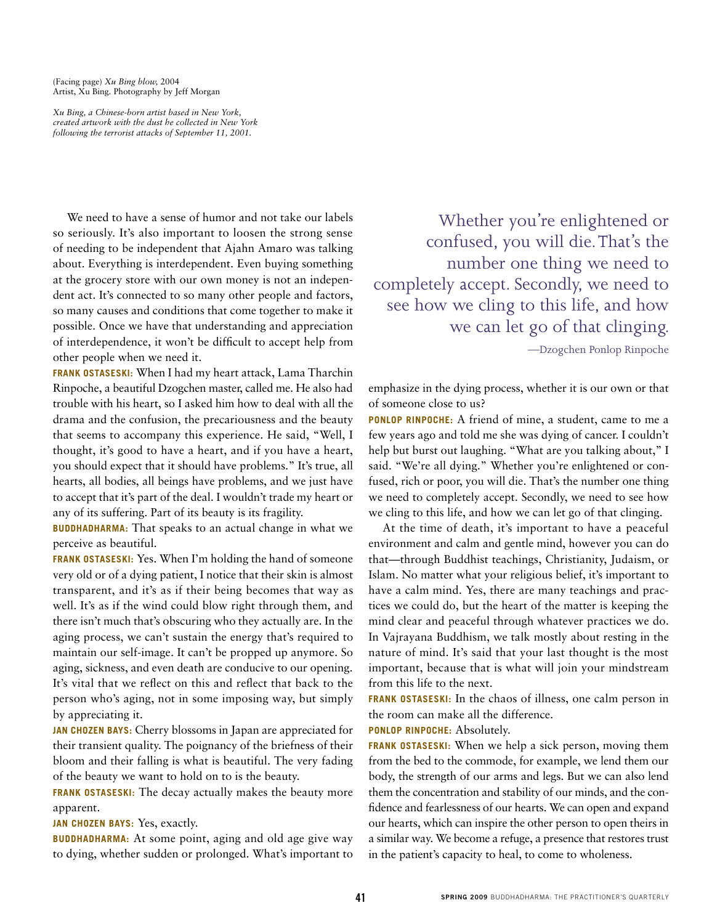(Facing page) *Xu Bing blow,* 2004 Artist, Xu Bing*.* Photography by Jeff Morgan

*Xu Bing, a Chinese-born artist based in New York, created artwork with the dust he collected in New York following the terrorist attacks of September 11, 2001.*

We need to have a sense of humor and not take our labels so seriously. It's also important to loosen the strong sense of needing to be independent that Ajahn Amaro was talking about. Everything is interdependent. Even buying something at the grocery store with our own money is not an independent act. It's connected to so many other people and factors, so many causes and conditions that come together to make it possible. Once we have that understanding and appreciation of interdependence, it won't be difficult to accept help from other people when we need it.

**Frank Ostaseski:** When I had my heart attack, Lama Tharchin Rinpoche, a beautiful Dzogchen master, called me. He also had trouble with his heart, so I asked him how to deal with all the drama and the confusion, the precariousness and the beauty that seems to accompany this experience. He said, "Well, I thought, it's good to have a heart, and if you have a heart, you should expect that it should have problems." It's true, all hearts, all bodies, all beings have problems, and we just have to accept that it's part of the deal. I wouldn't trade my heart or any of its suffering. Part of its beauty is its fragility.

**BUDDHADHARMA:** That speaks to an actual change in what we perceive as beautiful.

**Frank Ostaseski:** Yes. When I'm holding the hand of someone very old or of a dying patient, I notice that their skin is almost transparent, and it's as if their being becomes that way as well. It's as if the wind could blow right through them, and there isn't much that's obscuring who they actually are. In the aging process, we can't sustain the energy that's required to maintain our self-image. It can't be propped up anymore. So aging, sickness, and even death are conducive to our opening. It's vital that we reflect on this and reflect that back to the person who's aging, not in some imposing way, but simply by appreciating it.

**Jan Chozen Bays:** Cherry blossoms in Japan are appreciated for their transient quality. The poignancy of the briefness of their bloom and their falling is what is beautiful. The very fading of the beauty we want to hold on to is the beauty.

**FRANK OSTASESKI:** The decay actually makes the beauty more apparent.

**Jan Chozen Bays:** Yes, exactly.

**BUDDHADHARMA:** At some point, aging and old age give way to dying, whether sudden or prolonged. What's important to

Whether you're enlightened or confused, you will die. That's the number one thing we need to completely accept. Secondly, we need to see how we cling to this life, and how we can let go of that clinging.

—Dzogchen Ponlop Rinpoche

emphasize in the dying process, whether it is our own or that of someone close to us?

**Ponlop Rinpoche:** A friend of mine, a student, came to me a few years ago and told me she was dying of cancer. I couldn't help but burst out laughing. "What are you talking about," I said. "We're all dying." Whether you're enlightened or confused, rich or poor, you will die. That's the number one thing we need to completely accept. Secondly, we need to see how we cling to this life, and how we can let go of that clinging.

At the time of death, it's important to have a peaceful environment and calm and gentle mind, however you can do that—through Buddhist teachings, Christianity, Judaism, or Islam. No matter what your religious belief, it's important to have a calm mind. Yes, there are many teachings and practices we could do, but the heart of the matter is keeping the mind clear and peaceful through whatever practices we do. In Vajrayana Buddhism, we talk mostly about resting in the nature of mind. It's said that your last thought is the most important, because that is what will join your mindstream from this life to the next.

**Frank Ostaseski:** In the chaos of illness, one calm person in the room can make all the difference.

**Ponlop Rinpoche:** Absolutely.

**Frank Ostaseski:** When we help a sick person, moving them from the bed to the commode, for example, we lend them our body, the strength of our arms and legs. But we can also lend them the concentration and stability of our minds, and the confidence and fearlessness of our hearts. We can open and expand our hearts, which can inspire the other person to open theirs in a similar way. We become a refuge, a presence that restores trust in the patient's capacity to heal, to come to wholeness.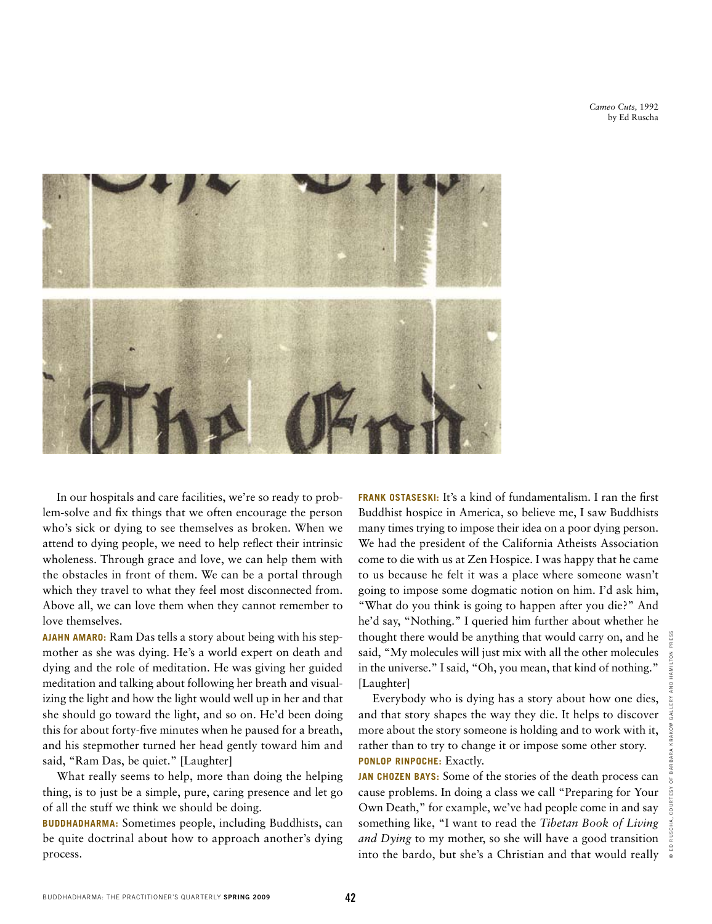*Cameo Cuts,* 1992 by Ed Ruscha



In our hospitals and care facilities, we're so ready to problem-solve and fix things that we often encourage the person who's sick or dying to see themselves as broken. When we attend to dying people, we need to help reflect their intrinsic wholeness. Through grace and love, we can help them with the obstacles in front of them. We can be a portal through which they travel to what they feel most disconnected from. Above all, we can love them when they cannot remember to love themselves.

**Ajahn Amaro:** Ram Das tells a story about being with his stepmother as she was dying. He's a world expert on death and dying and the role of meditation. He was giving her guided meditation and talking about following her breath and visualizing the light and how the light would well up in her and that she should go toward the light, and so on. He'd been doing this for about forty-five minutes when he paused for a breath, and his stepmother turned her head gently toward him and said, "Ram Das, be quiet." [Laughter]

What really seems to help, more than doing the helping thing, is to just be a simple, pure, caring presence and let go of all the stuff we think we should be doing.

**BUDDHADHARMA:** Sometimes people, including Buddhists, can be quite doctrinal about how to approach another's dying process.

**Frank Ostaseski:** It's a kind of fundamentalism. I ran the first Buddhist hospice in America, so believe me, I saw Buddhists many times trying to impose their idea on a poor dying person. We had the president of the California Atheists Association come to die with us at Zen Hospice. I was happy that he came to us because he felt it was a place where someone wasn't going to impose some dogmatic notion on him. I'd ask him, "What do you think is going to happen after you die?" And he'd say, "Nothing." I queried him further about whether he thought there would be anything that would carry on, and he said, "My molecules will just mix with all the other molecules in the universe." I said, "Oh, you mean, that kind of nothing." [Laughter]

Everybody who is dying has a story about how one dies, and that story shapes the way they die. It helps to discover more about the story someone is holding and to work with it, rather than to try to change it or impose some other story. **Ponlop Rinpoche:** Exactly.

**Jan Chozen Bays:** Some of the stories of the death process can cause problems. In doing a class we call "Preparing for Your Own Death," for example, we've had people come in and say something like, "I want to read the *Tibetan Book of Living and Dying* to my mother, so she will have a good transition into the bardo, but she's a Christian and that would really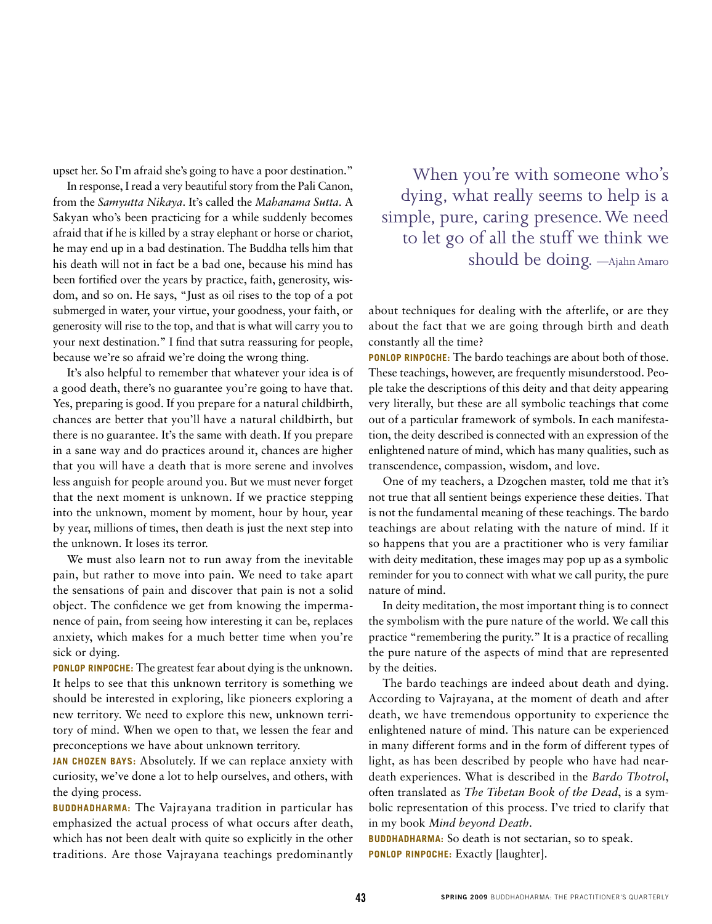upset her. So I'm afraid she's going to have a poor destination."

In response, I read a very beautiful story from the Pali Canon, from the *Samyutta Nikaya*. It's called the *Mahanama Sutta*. A Sakyan who's been practicing for a while suddenly becomes afraid that if he is killed by a stray elephant or horse or chariot, he may end up in a bad destination. The Buddha tells him that his death will not in fact be a bad one, because his mind has been fortified over the years by practice, faith, generosity, wisdom, and so on. He says, "Just as oil rises to the top of a pot submerged in water, your virtue, your goodness, your faith, or generosity will rise to the top, and that is what will carry you to your next destination." I find that sutra reassuring for people, because we're so afraid we're doing the wrong thing.

It's also helpful to remember that whatever your idea is of a good death, there's no guarantee you're going to have that. Yes, preparing is good. If you prepare for a natural childbirth, chances are better that you'll have a natural childbirth, but there is no guarantee. It's the same with death. If you prepare in a sane way and do practices around it, chances are higher that you will have a death that is more serene and involves less anguish for people around you. But we must never forget that the next moment is unknown. If we practice stepping into the unknown, moment by moment, hour by hour, year by year, millions of times, then death is just the next step into the unknown. It loses its terror.

We must also learn not to run away from the inevitable pain, but rather to move into pain. We need to take apart the sensations of pain and discover that pain is not a solid object. The confidence we get from knowing the impermanence of pain, from seeing how interesting it can be, replaces anxiety, which makes for a much better time when you're sick or dying.

**Ponlop Rinpoche:** The greatest fear about dying is the unknown. It helps to see that this unknown territory is something we should be interested in exploring, like pioneers exploring a new territory. We need to explore this new, unknown territory of mind. When we open to that, we lessen the fear and preconceptions we have about unknown territory.

**Jan Chozen Bays:** Absolutely. If we can replace anxiety with curiosity, we've done a lot to help ourselves, and others, with the dying process.

**BUDDHADHARMA:** The Vajrayana tradition in particular has emphasized the actual process of what occurs after death, which has not been dealt with quite so explicitly in the other traditions. Are those Vajrayana teachings predominantly

When you're with someone who's dying, what really seems to help is a simple, pure, caring presence. We need to let go of all the stuff we think we should be doing. —Ajahn Amaro

about techniques for dealing with the afterlife, or are they about the fact that we are going through birth and death constantly all the time?

**Ponlop Rinpoche:** The bardo teachings are about both of those. These teachings, however, are frequently misunderstood. People take the descriptions of this deity and that deity appearing very literally, but these are all symbolic teachings that come out of a particular framework of symbols. In each manifestation, the deity described is connected with an expression of the enlightened nature of mind, which has many qualities, such as transcendence, compassion, wisdom, and love.

One of my teachers, a Dzogchen master, told me that it's not true that all sentient beings experience these deities. That is not the fundamental meaning of these teachings. The bardo teachings are about relating with the nature of mind. If it so happens that you are a practitioner who is very familiar with deity meditation, these images may pop up as a symbolic reminder for you to connect with what we call purity, the pure nature of mind.

In deity meditation, the most important thing is to connect the symbolism with the pure nature of the world. We call this practice "remembering the purity." It is a practice of recalling the pure nature of the aspects of mind that are represented by the deities.

The bardo teachings are indeed about death and dying. According to Vajrayana, at the moment of death and after death, we have tremendous opportunity to experience the enlightened nature of mind. This nature can be experienced in many different forms and in the form of different types of light, as has been described by people who have had neardeath experiences. What is described in the *Bardo Thotrol*, often translated as *The Tibetan Book of the Dead*, is a symbolic representation of this process. I've tried to clarify that in my book *Mind beyond Death*.

**BUDDHADHARMA:** So death is not sectarian, so to speak. **Ponlop Rinpoche:** Exactly [laughter].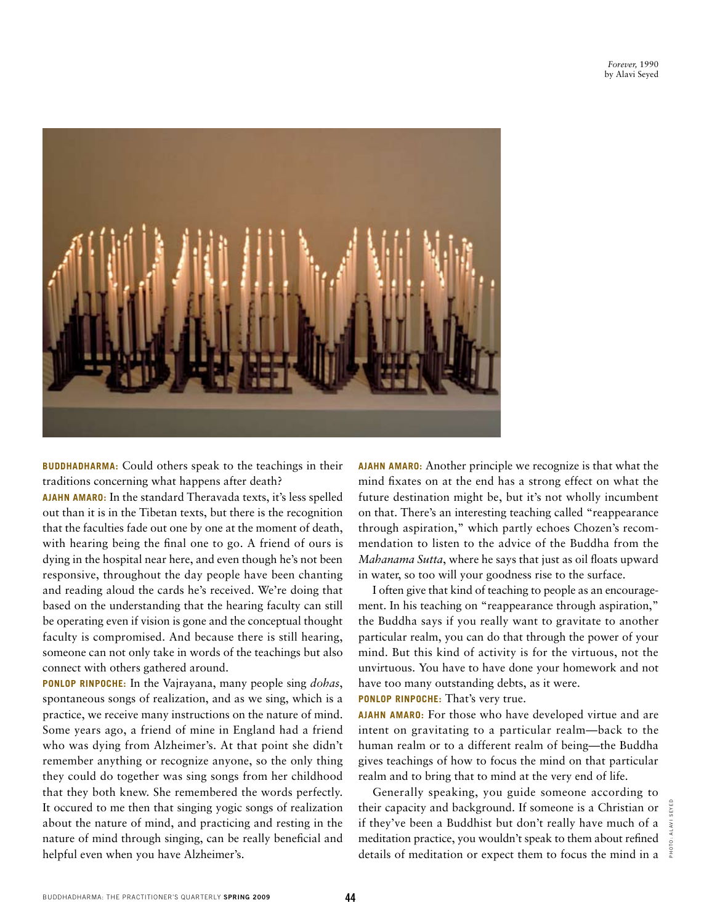

**BUDDHADHARMA:** Could others speak to the teachings in their traditions concerning what happens after death?

**Ajahn Amaro:** In the standard Theravada texts, it's less spelled out than it is in the Tibetan texts, but there is the recognition that the faculties fade out one by one at the moment of death, with hearing being the final one to go. A friend of ours is dying in the hospital near here, and even though he's not been responsive, throughout the day people have been chanting and reading aloud the cards he's received. We're doing that based on the understanding that the hearing faculty can still be operating even if vision is gone and the conceptual thought faculty is compromised. And because there is still hearing, someone can not only take in words of the teachings but also connect with others gathered around.

**Ponlop Rinpoche:** In the Vajrayana, many people sing *dohas*, spontaneous songs of realization, and as we sing, which is a practice, we receive many instructions on the nature of mind. Some years ago, a friend of mine in England had a friend who was dying from Alzheimer's. At that point she didn't remember anything or recognize anyone, so the only thing they could do together was sing songs from her childhood that they both knew. She remembered the words perfectly. It occured to me then that singing yogic songs of realization about the nature of mind, and practicing and resting in the nature of mind through singing, can be really beneficial and helpful even when you have Alzheimer's.

**Ajahn Amaro:** Another principle we recognize is that what the mind fixates on at the end has a strong effect on what the future destination might be, but it's not wholly incumbent on that. There's an interesting teaching called "reappearance through aspiration," which partly echoes Chozen's recommendation to listen to the advice of the Buddha from the *Mahanama Sutta*, where he says that just as oil floats upward in water, so too will your goodness rise to the surface.

I often give that kind of teaching to people as an encouragement. In his teaching on "reappearance through aspiration," the Buddha says if you really want to gravitate to another particular realm, you can do that through the power of your mind. But this kind of activity is for the virtuous, not the unvirtuous. You have to have done your homework and not have too many outstanding debts, as it were.

**Ponlop Rinpoche:** That's very true.

**Ajahn Amaro:** For those who have developed virtue and are intent on gravitating to a particular realm—back to the human realm or to a different realm of being—the Buddha gives teachings of how to focus the mind on that particular realm and to bring that to mind at the very end of life.

Generally speaking, you guide someone according to their capacity and background. If someone is a Christian or  $\frac{3}{6}$ if they've been a Buddhist but don't really have much of a meditation practice, you wouldn't speak to them about refined details of meditation or expect them to focus the mind in a  $\frac{2}{3}$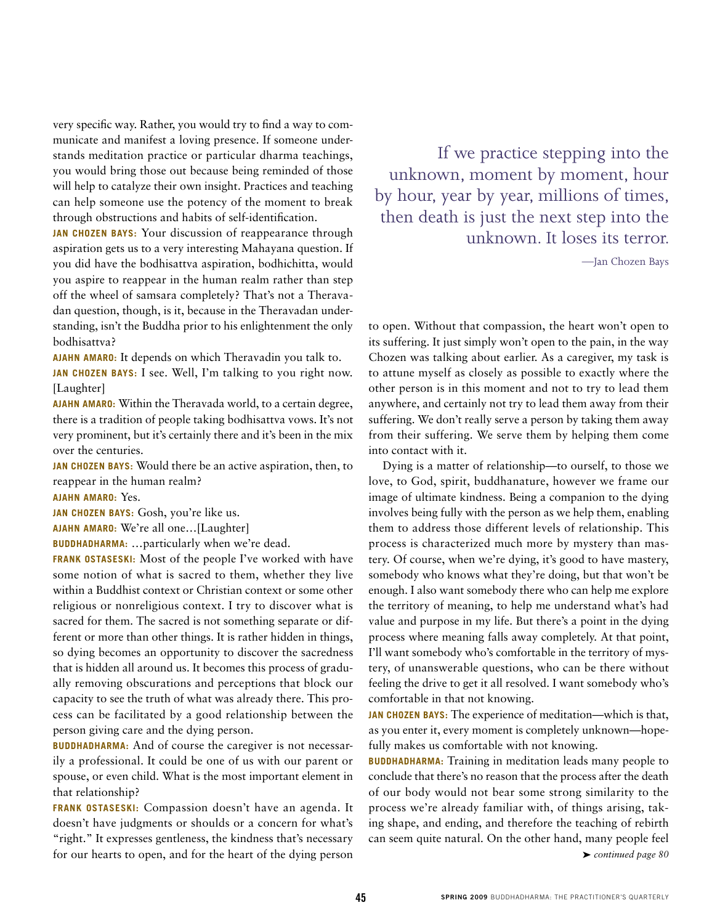very specific way. Rather, you would try to find a way to communicate and manifest a loving presence. If someone understands meditation practice or particular dharma teachings, you would bring those out because being reminded of those will help to catalyze their own insight. Practices and teaching can help someone use the potency of the moment to break through obstructions and habits of self-identification.

**Jan Chozen Bays:** Your discussion of reappearance through aspiration gets us to a very interesting Mahayana question. If you did have the bodhisattva aspiration, bodhichitta, would you aspire to reappear in the human realm rather than step off the wheel of samsara completely? That's not a Theravadan question, though, is it, because in the Theravadan understanding, isn't the Buddha prior to his enlightenment the only bodhisattva?

**Ajahn Amaro:** It depends on which Theravadin you talk to.

**Jan Chozen Bays:** I see. Well, I'm talking to you right now. [Laughter]

**Ajahn Amaro:** Within the Theravada world, to a certain degree, there is a tradition of people taking bodhisattva vows. It's not very prominent, but it's certainly there and it's been in the mix over the centuries.

**Jan Chozen Bays:** Would there be an active aspiration, then, to reappear in the human realm?

## **Ajahn Amaro:** Yes.

**Jan Chozen Bays:** Gosh, you're like us.

**Ajahn Amaro:** We're all one…[Laughter]

**BUDDHADHARMA:** ...particularly when we're dead.

**Frank Ostaseski:** Most of the people I've worked with have some notion of what is sacred to them, whether they live within a Buddhist context or Christian context or some other religious or nonreligious context. I try to discover what is sacred for them. The sacred is not something separate or different or more than other things. It is rather hidden in things, so dying becomes an opportunity to discover the sacredness that is hidden all around us. It becomes this process of gradually removing obscurations and perceptions that block our capacity to see the truth of what was already there. This process can be facilitated by a good relationship between the person giving care and the dying person.

**BUDDHADHARMA:** And of course the caregiver is not necessarily a professional. It could be one of us with our parent or spouse, or even child. What is the most important element in that relationship?

**Frank Ostaseski:** Compassion doesn't have an agenda. It doesn't have judgments or shoulds or a concern for what's "right." It expresses gentleness, the kindness that's necessary for our hearts to open, and for the heart of the dying person

If we practice stepping into the unknown, moment by moment, hour by hour, year by year, millions of times, then death is just the next step into the unknown. It loses its terror.

—Jan Chozen Bays

to open. Without that compassion, the heart won't open to its suffering. It just simply won't open to the pain, in the way Chozen was talking about earlier. As a caregiver, my task is to attune myself as closely as possible to exactly where the other person is in this moment and not to try to lead them anywhere, and certainly not try to lead them away from their suffering. We don't really serve a person by taking them away from their suffering. We serve them by helping them come into contact with it.

Dying is a matter of relationship—to ourself, to those we love, to God, spirit, buddhanature, however we frame our image of ultimate kindness. Being a companion to the dying involves being fully with the person as we help them, enabling them to address those different levels of relationship. This process is characterized much more by mystery than mastery. Of course, when we're dying, it's good to have mastery, somebody who knows what they're doing, but that won't be enough. I also want somebody there who can help me explore the territory of meaning, to help me understand what's had value and purpose in my life. But there's a point in the dying process where meaning falls away completely. At that point, I'll want somebody who's comfortable in the territory of mystery, of unanswerable questions, who can be there without feeling the drive to get it all resolved. I want somebody who's comfortable in that not knowing.

**Jan Chozen Bays:** The experience of meditation—which is that, as you enter it, every moment is completely unknown—hopefully makes us comfortable with not knowing.

**BUDDHADHARMA:** Training in meditation leads many people to conclude that there's no reason that the process after the death of our body would not bear some strong similarity to the process we're already familiar with, of things arising, taking shape, and ending, and therefore the teaching of rebirth can seem quite natural. On the other hand, many people feel

➤ *continued page 80*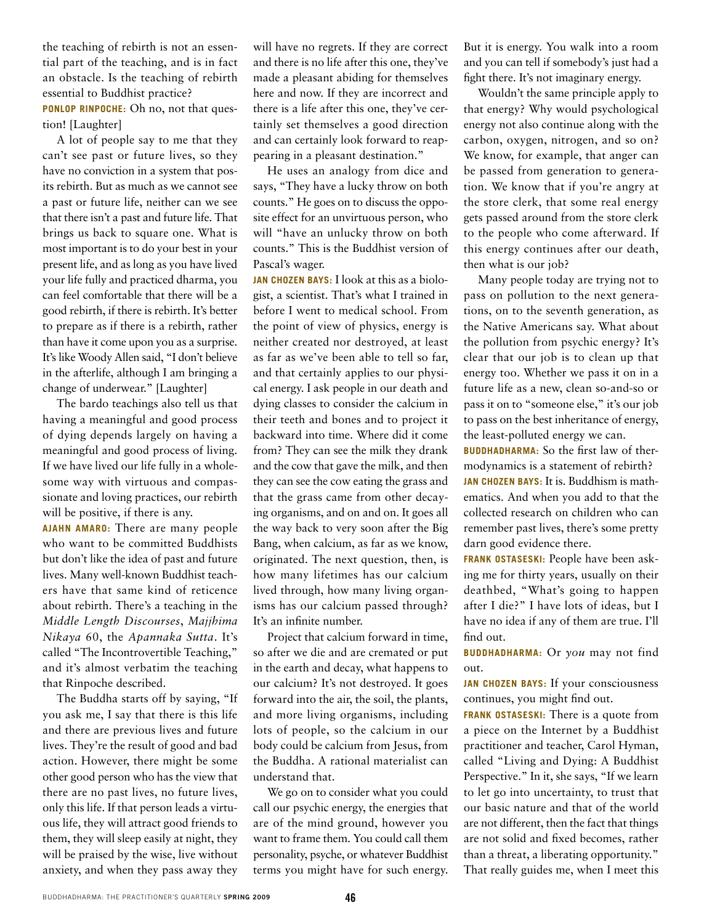the teaching of rebirth is not an essential part of the teaching, and is in fact an obstacle. Is the teaching of rebirth essential to Buddhist practice? **Ponlop Rinpoche:** Oh no, not that question! [Laughter]

A lot of people say to me that they can't see past or future lives, so they have no conviction in a system that posits rebirth. But as much as we cannot see a past or future life, neither can we see that there isn't a past and future life. That brings us back to square one. What is most important is to do your best in your present life, and as long as you have lived your life fully and practiced dharma, you can feel comfortable that there will be a good rebirth, if there is rebirth. It's better to prepare as if there is a rebirth, rather than have it come upon you as a surprise. It's like Woody Allen said, "I don't believe in the afterlife, although I am bringing a change of underwear." [Laughter]

The bardo teachings also tell us that having a meaningful and good process of dying depends largely on having a meaningful and good process of living. If we have lived our life fully in a wholesome way with virtuous and compassionate and loving practices, our rebirth will be positive, if there is any.

**Ajahn Amaro:** There are many people who want to be committed Buddhists but don't like the idea of past and future lives. Many well-known Buddhist teachers have that same kind of reticence about rebirth. There's a teaching in the *Middle Length Discourses*, *Majjhima Nikaya* 60, the *Apannaka Sutta*. It's called "The Incontrovertible Teaching," and it's almost verbatim the teaching that Rinpoche described.

The Buddha starts off by saying, "If you ask me, I say that there is this life and there are previous lives and future lives. They're the result of good and bad action. However, there might be some other good person who has the view that there are no past lives, no future lives, only this life. If that person leads a virtuous life, they will attract good friends to them, they will sleep easily at night, they will be praised by the wise, live without anxiety, and when they pass away they

will have no regrets. If they are correct and there is no life after this one, they've made a pleasant abiding for themselves here and now. If they are incorrect and there is a life after this one, they've certainly set themselves a good direction and can certainly look forward to reappearing in a pleasant destination."

He uses an analogy from dice and says, "They have a lucky throw on both counts." He goes on to discuss the opposite effect for an unvirtuous person, who will "have an unlucky throw on both counts." This is the Buddhist version of Pascal's wager.

**Jan Chozen Bays:** I look at this as a biologist, a scientist. That's what I trained in before I went to medical school. From the point of view of physics, energy is neither created nor destroyed, at least as far as we've been able to tell so far, and that certainly applies to our physical energy. I ask people in our death and dying classes to consider the calcium in their teeth and bones and to project it backward into time. Where did it come from? They can see the milk they drank and the cow that gave the milk, and then they can see the cow eating the grass and that the grass came from other decaying organisms, and on and on. It goes all the way back to very soon after the Big Bang, when calcium, as far as we know, originated. The next question, then, is how many lifetimes has our calcium lived through, how many living organisms has our calcium passed through? It's an infinite number.

Project that calcium forward in time, so after we die and are cremated or put in the earth and decay, what happens to our calcium? It's not destroyed. It goes forward into the air, the soil, the plants, and more living organisms, including lots of people, so the calcium in our body could be calcium from Jesus, from the Buddha. A rational materialist can understand that.

We go on to consider what you could call our psychic energy, the energies that are of the mind ground, however you want to frame them. You could call them personality, psyche, or whatever Buddhist terms you might have for such energy.

But it is energy. You walk into a room and you can tell if somebody's just had a fight there. It's not imaginary energy.

Wouldn't the same principle apply to that energy? Why would psychological energy not also continue along with the carbon, oxygen, nitrogen, and so on? We know, for example, that anger can be passed from generation to generation. We know that if you're angry at the store clerk, that some real energy gets passed around from the store clerk to the people who come afterward. If this energy continues after our death, then what is our job?

Many people today are trying not to pass on pollution to the next generations, on to the seventh generation, as the Native Americans say. What about the pollution from psychic energy? It's clear that our job is to clean up that energy too. Whether we pass it on in a future life as a new, clean so-and-so or pass it on to "someone else," it's our job to pass on the best inheritance of energy, the least-polluted energy we can.

**BUDDHADHARMA:** So the first law of thermodynamics is a statement of rebirth? **Jan Chozen Bays:** It is. Buddhism is mathematics. And when you add to that the collected research on children who can remember past lives, there's some pretty darn good evidence there.

**Frank Ostaseski:** People have been asking me for thirty years, usually on their deathbed, "What's going to happen after I die?" I have lots of ideas, but I have no idea if any of them are true. I'll find out.

**Buddhadharma:** Or *you* may not find out.

**Jan Chozen Bays:** If your consciousness continues, you might find out.

**Frank Ostaseski:** There is a quote from a piece on the Internet by a Buddhist practitioner and teacher, Carol Hyman, called "Living and Dying: A Buddhist Perspective." In it, she says, "If we learn to let go into uncertainty, to trust that our basic nature and that of the world are not different, then the fact that things are not solid and fixed becomes, rather than a threat, a liberating opportunity." That really guides me, when I meet this